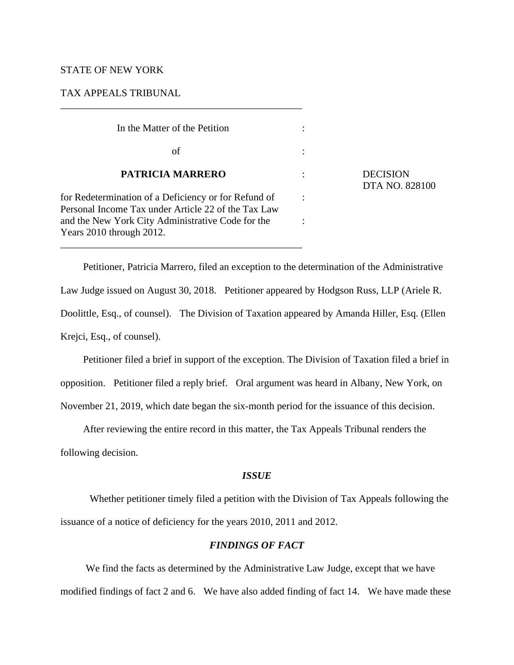## STATE OF NEW YORK

### TAX APPEALS TRIBUNAL

| In the Matter of the Petition                                                                                                                                    |  |
|------------------------------------------------------------------------------------------------------------------------------------------------------------------|--|
| of                                                                                                                                                               |  |
| <b>PATRICIA MARRERO</b>                                                                                                                                          |  |
| for Redetermination of a Deficiency or for Refund of<br>Personal Income Tax under Article 22 of the Tax Law<br>and the New York City Administrative Code for the |  |
| Years 2010 through 2012.                                                                                                                                         |  |

\_\_\_\_\_\_\_\_\_\_\_\_\_\_\_\_\_\_\_\_\_\_\_\_\_\_\_\_\_\_\_\_\_\_\_\_\_\_\_\_\_\_\_\_\_\_\_\_

\_\_\_\_\_\_\_\_\_\_\_\_\_\_\_\_\_\_\_\_\_\_\_\_\_\_\_\_\_\_\_\_\_\_\_\_\_\_\_\_\_\_\_\_\_\_\_\_

**DECISION** DTA NO. 828100

Petitioner, Patricia Marrero, filed an exception to the determination of the Administrative Law Judge issued on August 30, 2018. Petitioner appeared by Hodgson Russ, LLP (Ariele R. Doolittle, Esq., of counsel). The Division of Taxation appeared by Amanda Hiller, Esq. (Ellen Krejci, Esq., of counsel).

Petitioner filed a brief in support of the exception. The Division of Taxation filed a brief in opposition. Petitioner filed a reply brief. Oral argument was heard in Albany, New York, on November 21, 2019, which date began the six-month period for the issuance of this decision.

After reviewing the entire record in this matter, the Tax Appeals Tribunal renders the following decision.

# *ISSUE*

Whether petitioner timely filed a petition with the Division of Tax Appeals following the issuance of a notice of deficiency for the years 2010, 2011 and 2012.

# *FINDINGS OF FACT*

We find the facts as determined by the Administrative Law Judge, except that we have modified findings of fact 2 and 6. We have also added finding of fact 14. We have made these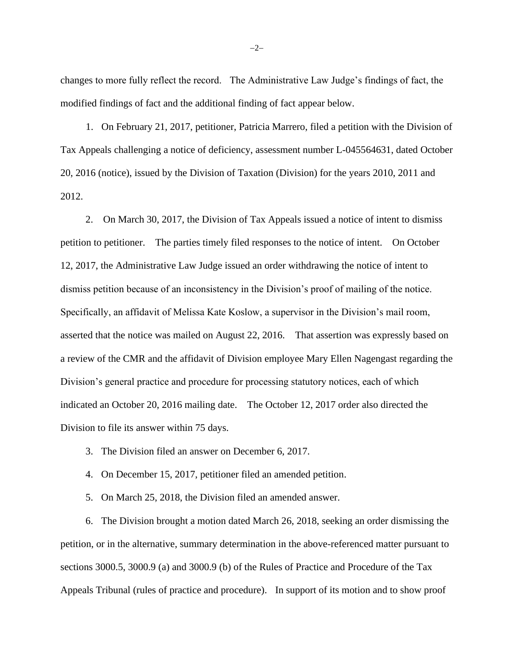changes to more fully reflect the record. The Administrative Law Judge's findings of fact, the modified findings of fact and the additional finding of fact appear below.

1. On February 21, 2017, petitioner, Patricia Marrero, filed a petition with the Division of Tax Appeals challenging a notice of deficiency, assessment number L-045564631, dated October 20, 2016 (notice), issued by the Division of Taxation (Division) for the years 2010, 2011 and 2012.

2. On March 30, 2017, the Division of Tax Appeals issued a notice of intent to dismiss petition to petitioner. The parties timely filed responses to the notice of intent. On October 12, 2017, the Administrative Law Judge issued an order withdrawing the notice of intent to dismiss petition because of an inconsistency in the Division's proof of mailing of the notice. Specifically, an affidavit of Melissa Kate Koslow, a supervisor in the Division's mail room, asserted that the notice was mailed on August 22, 2016. That assertion was expressly based on a review of the CMR and the affidavit of Division employee Mary Ellen Nagengast regarding the Division's general practice and procedure for processing statutory notices, each of which indicated an October 20, 2016 mailing date. The October 12, 2017 order also directed the Division to file its answer within 75 days.

- 3. The Division filed an answer on December 6, 2017.
- 4. On December 15, 2017, petitioner filed an amended petition.
- 5. On March 25, 2018, the Division filed an amended answer.

6. The Division brought a motion dated March 26, 2018, seeking an order dismissing the petition, or in the alternative, summary determination in the above-referenced matter pursuant to sections 3000.5, 3000.9 (a) and 3000.9 (b) of the Rules of Practice and Procedure of the Tax Appeals Tribunal (rules of practice and procedure). In support of its motion and to show proof

−2−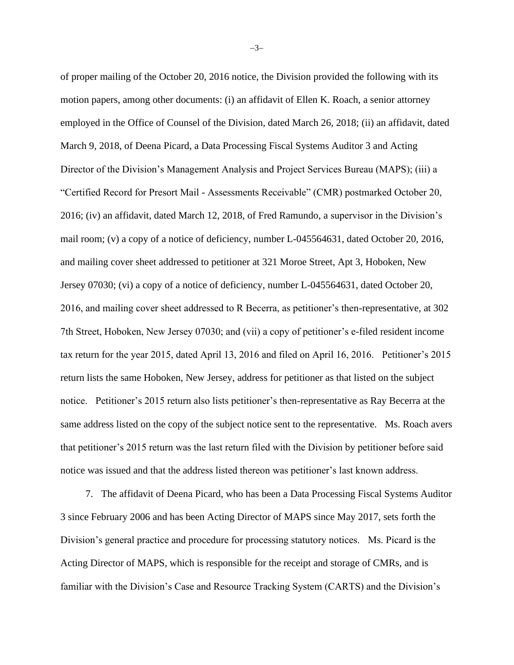of proper mailing of the October 20, 2016 notice, the Division provided the following with its motion papers, among other documents: (i) an affidavit of Ellen K. Roach, a senior attorney employed in the Office of Counsel of the Division, dated March 26, 2018; (ii) an affidavit, dated March 9, 2018, of Deena Picard, a Data Processing Fiscal Systems Auditor 3 and Acting Director of the Division's Management Analysis and Project Services Bureau (MAPS); (iii) a "Certified Record for Presort Mail - Assessments Receivable" (CMR) postmarked October 20, 2016; (iv) an affidavit, dated March 12, 2018, of Fred Ramundo, a supervisor in the Division's mail room; (v) a copy of a notice of deficiency, number L-045564631, dated October 20, 2016, and mailing cover sheet addressed to petitioner at 321 Moroe Street, Apt 3, Hoboken, New Jersey 07030; (vi) a copy of a notice of deficiency, number L-045564631, dated October 20, 2016, and mailing cover sheet addressed to R Becerra, as petitioner's then-representative, at 302 7th Street, Hoboken, New Jersey 07030; and (vii) a copy of petitioner's e-filed resident income tax return for the year 2015, dated April 13, 2016 and filed on April 16, 2016. Petitioner's 2015 return lists the same Hoboken, New Jersey, address for petitioner as that listed on the subject notice. Petitioner's 2015 return also lists petitioner's then-representative as Ray Becerra at the same address listed on the copy of the subject notice sent to the representative. Ms. Roach avers that petitioner's 2015 return was the last return filed with the Division by petitioner before said notice was issued and that the address listed thereon was petitioner's last known address.

7. The affidavit of Deena Picard, who has been a Data Processing Fiscal Systems Auditor 3 since February 2006 and has been Acting Director of MAPS since May 2017, sets forth the Division's general practice and procedure for processing statutory notices. Ms. Picard is the Acting Director of MAPS, which is responsible for the receipt and storage of CMRs, and is familiar with the Division's Case and Resource Tracking System (CARTS) and the Division's

−3−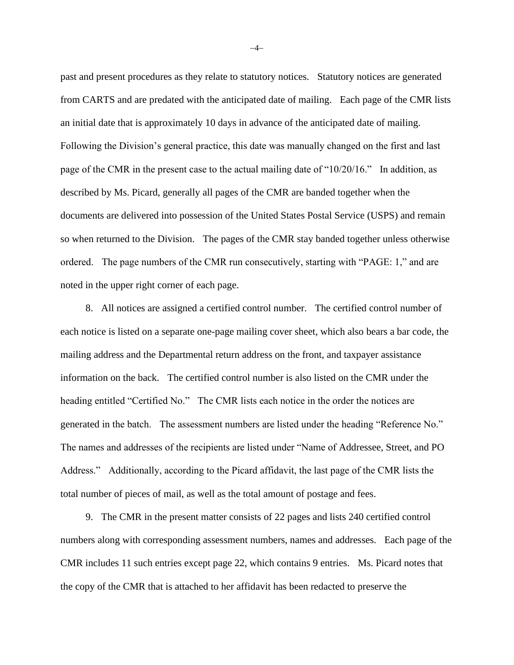past and present procedures as they relate to statutory notices. Statutory notices are generated from CARTS and are predated with the anticipated date of mailing. Each page of the CMR lists an initial date that is approximately 10 days in advance of the anticipated date of mailing. Following the Division's general practice, this date was manually changed on the first and last page of the CMR in the present case to the actual mailing date of "10/20/16." In addition, as described by Ms. Picard, generally all pages of the CMR are banded together when the documents are delivered into possession of the United States Postal Service (USPS) and remain so when returned to the Division. The pages of the CMR stay banded together unless otherwise ordered. The page numbers of the CMR run consecutively, starting with "PAGE: 1," and are noted in the upper right corner of each page.

8. All notices are assigned a certified control number. The certified control number of each notice is listed on a separate one-page mailing cover sheet, which also bears a bar code, the mailing address and the Departmental return address on the front, and taxpayer assistance information on the back. The certified control number is also listed on the CMR under the heading entitled "Certified No." The CMR lists each notice in the order the notices are generated in the batch. The assessment numbers are listed under the heading "Reference No." The names and addresses of the recipients are listed under "Name of Addressee, Street, and PO Address." Additionally, according to the Picard affidavit, the last page of the CMR lists the total number of pieces of mail, as well as the total amount of postage and fees.

9. The CMR in the present matter consists of 22 pages and lists 240 certified control numbers along with corresponding assessment numbers, names and addresses. Each page of the CMR includes 11 such entries except page 22, which contains 9 entries. Ms. Picard notes that the copy of the CMR that is attached to her affidavit has been redacted to preserve the

−4−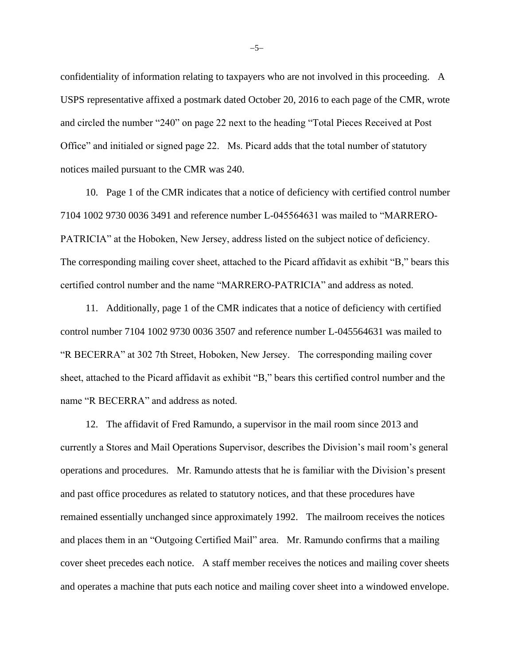confidentiality of information relating to taxpayers who are not involved in this proceeding. A USPS representative affixed a postmark dated October 20, 2016 to each page of the CMR, wrote and circled the number "240" on page 22 next to the heading "Total Pieces Received at Post Office" and initialed or signed page 22. Ms. Picard adds that the total number of statutory notices mailed pursuant to the CMR was 240.

10. Page 1 of the CMR indicates that a notice of deficiency with certified control number 7104 1002 9730 0036 3491 and reference number L-045564631 was mailed to "MARRERO-PATRICIA" at the Hoboken, New Jersey, address listed on the subject notice of deficiency. The corresponding mailing cover sheet, attached to the Picard affidavit as exhibit "B," bears this certified control number and the name "MARRERO-PATRICIA" and address as noted.

11. Additionally, page 1 of the CMR indicates that a notice of deficiency with certified control number 7104 1002 9730 0036 3507 and reference number L-045564631 was mailed to "R BECERRA" at 302 7th Street, Hoboken, New Jersey. The corresponding mailing cover sheet, attached to the Picard affidavit as exhibit "B," bears this certified control number and the name "R BECERRA" and address as noted.

12. The affidavit of Fred Ramundo, a supervisor in the mail room since 2013 and currently a Stores and Mail Operations Supervisor, describes the Division's mail room's general operations and procedures. Mr. Ramundo attests that he is familiar with the Division's present and past office procedures as related to statutory notices, and that these procedures have remained essentially unchanged since approximately 1992. The mailroom receives the notices and places them in an "Outgoing Certified Mail" area. Mr. Ramundo confirms that a mailing cover sheet precedes each notice. A staff member receives the notices and mailing cover sheets and operates a machine that puts each notice and mailing cover sheet into a windowed envelope.

−5−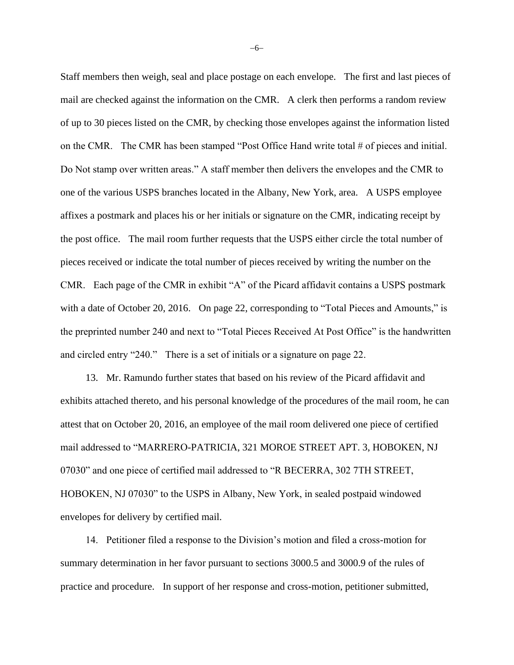Staff members then weigh, seal and place postage on each envelope. The first and last pieces of mail are checked against the information on the CMR. A clerk then performs a random review of up to 30 pieces listed on the CMR, by checking those envelopes against the information listed on the CMR. The CMR has been stamped "Post Office Hand write total # of pieces and initial. Do Not stamp over written areas." A staff member then delivers the envelopes and the CMR to one of the various USPS branches located in the Albany, New York, area. A USPS employee affixes a postmark and places his or her initials or signature on the CMR, indicating receipt by the post office. The mail room further requests that the USPS either circle the total number of pieces received or indicate the total number of pieces received by writing the number on the CMR. Each page of the CMR in exhibit "A" of the Picard affidavit contains a USPS postmark with a date of October 20, 2016. On page 22, corresponding to "Total Pieces and Amounts," is the preprinted number 240 and next to "Total Pieces Received At Post Office" is the handwritten and circled entry "240." There is a set of initials or a signature on page 22.

13. Mr. Ramundo further states that based on his review of the Picard affidavit and exhibits attached thereto, and his personal knowledge of the procedures of the mail room, he can attest that on October 20, 2016, an employee of the mail room delivered one piece of certified mail addressed to "MARRERO-PATRICIA, 321 MOROE STREET APT. 3, HOBOKEN, NJ 07030" and one piece of certified mail addressed to "R BECERRA, 302 7TH STREET, HOBOKEN, NJ 07030" to the USPS in Albany, New York, in sealed postpaid windowed envelopes for delivery by certified mail.

14. Petitioner filed a response to the Division's motion and filed a cross-motion for summary determination in her favor pursuant to sections 3000.5 and 3000.9 of the rules of practice and procedure. In support of her response and cross-motion, petitioner submitted,

−6−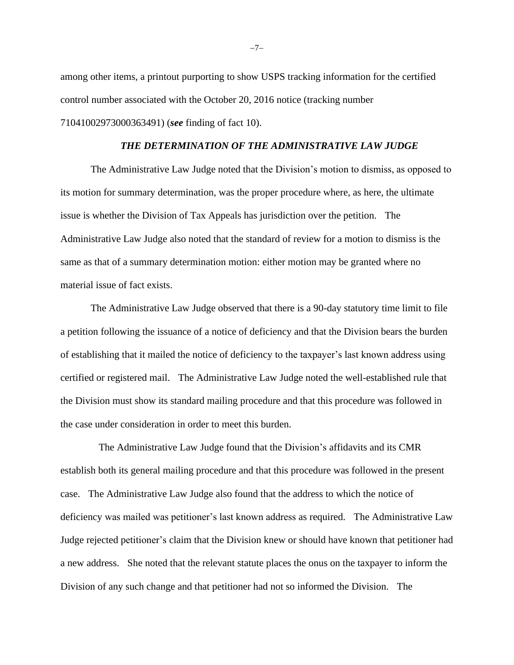among other items, a printout purporting to show USPS tracking information for the certified control number associated with the October 20, 2016 notice (tracking number 71041002973000363491) (*see* finding of fact 10).

#### *THE DETERMINATION OF THE ADMINISTRATIVE LAW JUDGE*

The Administrative Law Judge noted that the Division's motion to dismiss, as opposed to its motion for summary determination, was the proper procedure where, as here, the ultimate issue is whether the Division of Tax Appeals has jurisdiction over the petition. The Administrative Law Judge also noted that the standard of review for a motion to dismiss is the same as that of a summary determination motion: either motion may be granted where no material issue of fact exists.

The Administrative Law Judge observed that there is a 90-day statutory time limit to file a petition following the issuance of a notice of deficiency and that the Division bears the burden of establishing that it mailed the notice of deficiency to the taxpayer's last known address using certified or registered mail. The Administrative Law Judge noted the well-established rule that the Division must show its standard mailing procedure and that this procedure was followed in the case under consideration in order to meet this burden.

 The Administrative Law Judge found that the Division's affidavits and its CMR establish both its general mailing procedure and that this procedure was followed in the present case. The Administrative Law Judge also found that the address to which the notice of deficiency was mailed was petitioner's last known address as required. The Administrative Law Judge rejected petitioner's claim that the Division knew or should have known that petitioner had a new address. She noted that the relevant statute places the onus on the taxpayer to inform the Division of any such change and that petitioner had not so informed the Division. The

−7−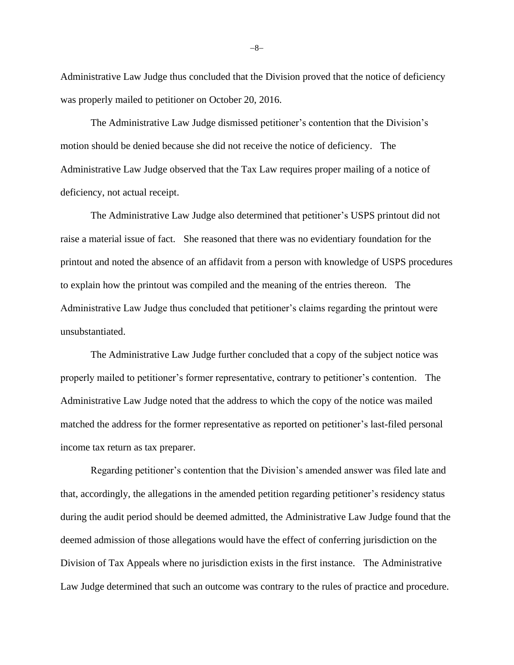Administrative Law Judge thus concluded that the Division proved that the notice of deficiency was properly mailed to petitioner on October 20, 2016.

The Administrative Law Judge dismissed petitioner's contention that the Division's motion should be denied because she did not receive the notice of deficiency. The Administrative Law Judge observed that the Tax Law requires proper mailing of a notice of deficiency, not actual receipt.

The Administrative Law Judge also determined that petitioner's USPS printout did not raise a material issue of fact. She reasoned that there was no evidentiary foundation for the printout and noted the absence of an affidavit from a person with knowledge of USPS procedures to explain how the printout was compiled and the meaning of the entries thereon. The Administrative Law Judge thus concluded that petitioner's claims regarding the printout were unsubstantiated.

The Administrative Law Judge further concluded that a copy of the subject notice was properly mailed to petitioner's former representative, contrary to petitioner's contention. The Administrative Law Judge noted that the address to which the copy of the notice was mailed matched the address for the former representative as reported on petitioner's last-filed personal income tax return as tax preparer.

Regarding petitioner's contention that the Division's amended answer was filed late and that, accordingly, the allegations in the amended petition regarding petitioner's residency status during the audit period should be deemed admitted, the Administrative Law Judge found that the deemed admission of those allegations would have the effect of conferring jurisdiction on the Division of Tax Appeals where no jurisdiction exists in the first instance. The Administrative Law Judge determined that such an outcome was contrary to the rules of practice and procedure.

−8−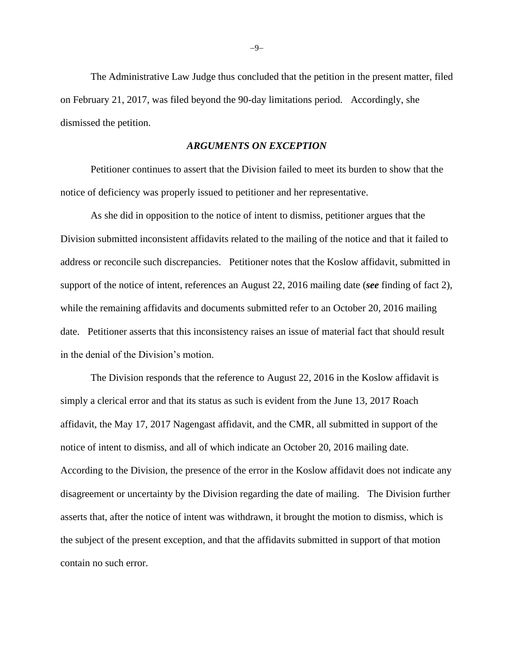The Administrative Law Judge thus concluded that the petition in the present matter, filed on February 21, 2017, was filed beyond the 90-day limitations period. Accordingly, she dismissed the petition.

#### *ARGUMENTS ON EXCEPTION*

Petitioner continues to assert that the Division failed to meet its burden to show that the notice of deficiency was properly issued to petitioner and her representative.

As she did in opposition to the notice of intent to dismiss, petitioner argues that the Division submitted inconsistent affidavits related to the mailing of the notice and that it failed to address or reconcile such discrepancies. Petitioner notes that the Koslow affidavit, submitted in support of the notice of intent, references an August 22, 2016 mailing date (*see* finding of fact 2), while the remaining affidavits and documents submitted refer to an October 20, 2016 mailing date. Petitioner asserts that this inconsistency raises an issue of material fact that should result in the denial of the Division's motion.

The Division responds that the reference to August 22, 2016 in the Koslow affidavit is simply a clerical error and that its status as such is evident from the June 13, 2017 Roach affidavit, the May 17, 2017 Nagengast affidavit, and the CMR, all submitted in support of the notice of intent to dismiss, and all of which indicate an October 20, 2016 mailing date. According to the Division, the presence of the error in the Koslow affidavit does not indicate any disagreement or uncertainty by the Division regarding the date of mailing. The Division further asserts that, after the notice of intent was withdrawn, it brought the motion to dismiss, which is the subject of the present exception, and that the affidavits submitted in support of that motion contain no such error.

−9−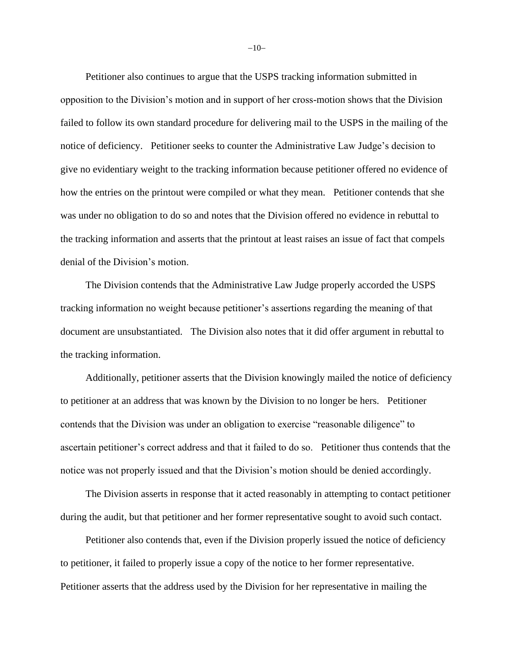Petitioner also continues to argue that the USPS tracking information submitted in opposition to the Division's motion and in support of her cross-motion shows that the Division failed to follow its own standard procedure for delivering mail to the USPS in the mailing of the notice of deficiency. Petitioner seeks to counter the Administrative Law Judge's decision to give no evidentiary weight to the tracking information because petitioner offered no evidence of how the entries on the printout were compiled or what they mean. Petitioner contends that she was under no obligation to do so and notes that the Division offered no evidence in rebuttal to the tracking information and asserts that the printout at least raises an issue of fact that compels denial of the Division's motion.

The Division contends that the Administrative Law Judge properly accorded the USPS tracking information no weight because petitioner's assertions regarding the meaning of that document are unsubstantiated. The Division also notes that it did offer argument in rebuttal to the tracking information.

Additionally, petitioner asserts that the Division knowingly mailed the notice of deficiency to petitioner at an address that was known by the Division to no longer be hers. Petitioner contends that the Division was under an obligation to exercise "reasonable diligence" to ascertain petitioner's correct address and that it failed to do so. Petitioner thus contends that the notice was not properly issued and that the Division's motion should be denied accordingly.

The Division asserts in response that it acted reasonably in attempting to contact petitioner during the audit, but that petitioner and her former representative sought to avoid such contact.

Petitioner also contends that, even if the Division properly issued the notice of deficiency to petitioner, it failed to properly issue a copy of the notice to her former representative. Petitioner asserts that the address used by the Division for her representative in mailing the

−10−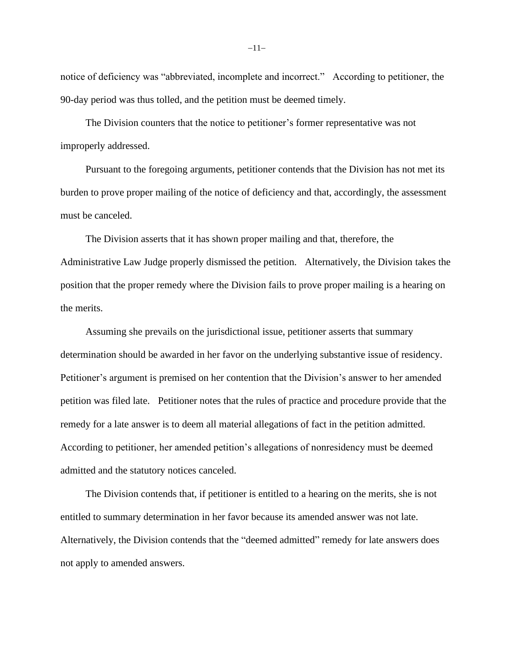notice of deficiency was "abbreviated, incomplete and incorrect." According to petitioner, the 90-day period was thus tolled, and the petition must be deemed timely.

The Division counters that the notice to petitioner's former representative was not improperly addressed.

Pursuant to the foregoing arguments, petitioner contends that the Division has not met its burden to prove proper mailing of the notice of deficiency and that, accordingly, the assessment must be canceled.

The Division asserts that it has shown proper mailing and that, therefore, the Administrative Law Judge properly dismissed the petition. Alternatively, the Division takes the position that the proper remedy where the Division fails to prove proper mailing is a hearing on the merits.

Assuming she prevails on the jurisdictional issue, petitioner asserts that summary determination should be awarded in her favor on the underlying substantive issue of residency. Petitioner's argument is premised on her contention that the Division's answer to her amended petition was filed late. Petitioner notes that the rules of practice and procedure provide that the remedy for a late answer is to deem all material allegations of fact in the petition admitted. According to petitioner, her amended petition's allegations of nonresidency must be deemed admitted and the statutory notices canceled.

The Division contends that, if petitioner is entitled to a hearing on the merits, she is not entitled to summary determination in her favor because its amended answer was not late. Alternatively, the Division contends that the "deemed admitted" remedy for late answers does not apply to amended answers.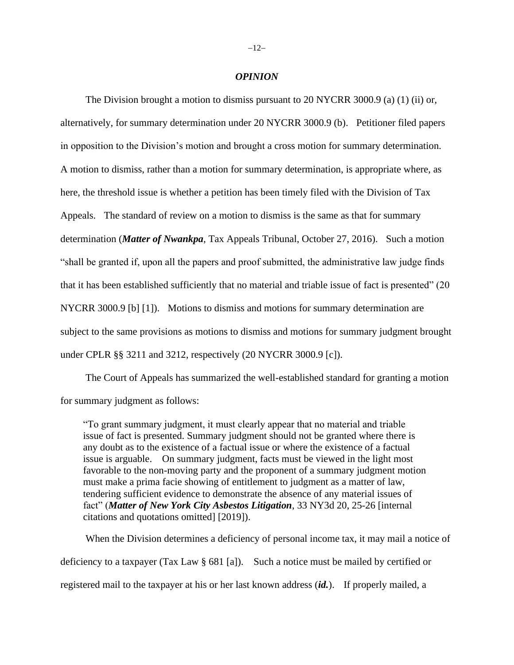#### *OPINION*

The Division brought a motion to dismiss pursuant to 20 NYCRR 3000.9 (a) (1) (ii) or, alternatively, for summary determination under 20 NYCRR 3000.9 (b). Petitioner filed papers in opposition to the Division's motion and brought a cross motion for summary determination. A motion to dismiss, rather than a motion for summary determination, is appropriate where, as here, the threshold issue is whether a petition has been timely filed with the Division of Tax Appeals. The standard of review on a motion to dismiss is the same as that for summary determination (*Matter of Nwankpa*, Tax Appeals Tribunal, October 27, 2016). Such a motion "shall be granted if, upon all the papers and proof submitted, the administrative law judge finds that it has been established sufficiently that no material and triable issue of fact is presented" (20 NYCRR 3000.9 [b] [1]). Motions to dismiss and motions for summary determination are subject to the same provisions as motions to dismiss and motions for summary judgment brought under CPLR §§ 3211 and 3212, respectively (20 NYCRR 3000.9 [c]).

The Court of Appeals has summarized the well-established standard for granting a motion for summary judgment as follows:

"To grant summary judgment, it must clearly appear that no material and triable issue of fact is presented. Summary judgment should not be granted where there is any doubt as to the existence of a factual issue or where the existence of a factual issue is arguable. On summary judgment, facts must be viewed in the light most favorable to the non-moving party and the proponent of a summary judgment motion must make a prima facie showing of entitlement to judgment as a matter of law, tendering sufficient evidence to demonstrate the absence of any material issues of fact" (*Matter of New York City Asbestos Litigation*, 33 NY3d 20, 25-26 [internal citations and quotations omitted] [2019]).

When the Division determines a deficiency of personal income tax, it may mail a notice of deficiency to a taxpayer (Tax Law § 681 [a]). Such a notice must be mailed by certified or registered mail to the taxpayer at his or her last known address (*id.*). If properly mailed, a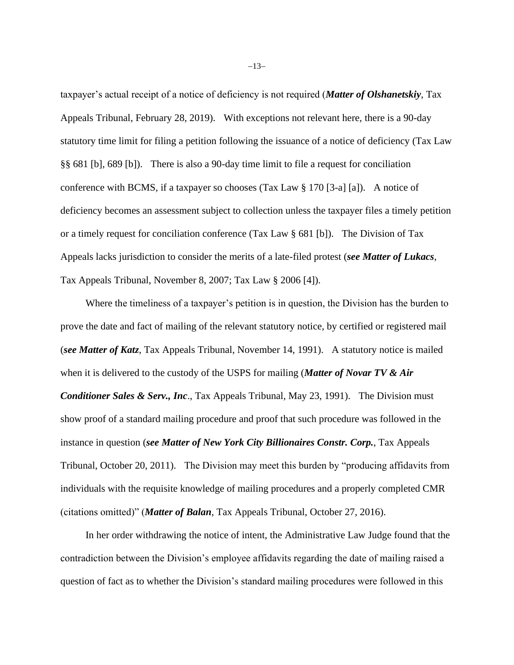taxpayer's actual receipt of a notice of deficiency is not required (*Matter of Olshanetskiy*, Tax Appeals Tribunal, February 28, 2019). With exceptions not relevant here, there is a 90-day statutory time limit for filing a petition following the issuance of a notice of deficiency (Tax Law §§ 681 [b], 689 [b]). There is also a 90-day time limit to file a request for conciliation conference with BCMS, if a taxpayer so chooses (Tax Law § 170 [3-a] [a]). A notice of deficiency becomes an assessment subject to collection unless the taxpayer files a timely petition or a timely request for conciliation conference (Tax Law § 681 [b]). The Division of Tax Appeals lacks jurisdiction to consider the merits of a late-filed protest (*see Matter of Lukacs*, Tax Appeals Tribunal, November 8, 2007; Tax Law § 2006 [4]).

Where the timeliness of a taxpayer's petition is in question, the Division has the burden to prove the date and fact of mailing of the relevant statutory notice, by certified or registered mail (*see Matter of Katz*, Tax Appeals Tribunal, November 14, 1991). A statutory notice is mailed when it is delivered to the custody of the USPS for mailing (*Matter of Novar TV & Air Conditioner Sales & Serv., Inc*., Tax Appeals Tribunal, May 23, 1991). The Division must show proof of a standard mailing procedure and proof that such procedure was followed in the instance in question (*see Matter of New York City Billionaires Constr. Corp.*, Tax Appeals Tribunal, October 20, 2011). The Division may meet this burden by "producing affidavits from individuals with the requisite knowledge of mailing procedures and a properly completed CMR (citations omitted)" (*Matter of Balan*, Tax Appeals Tribunal, October 27, 2016).

In her order withdrawing the notice of intent, the Administrative Law Judge found that the contradiction between the Division's employee affidavits regarding the date of mailing raised a question of fact as to whether the Division's standard mailing procedures were followed in this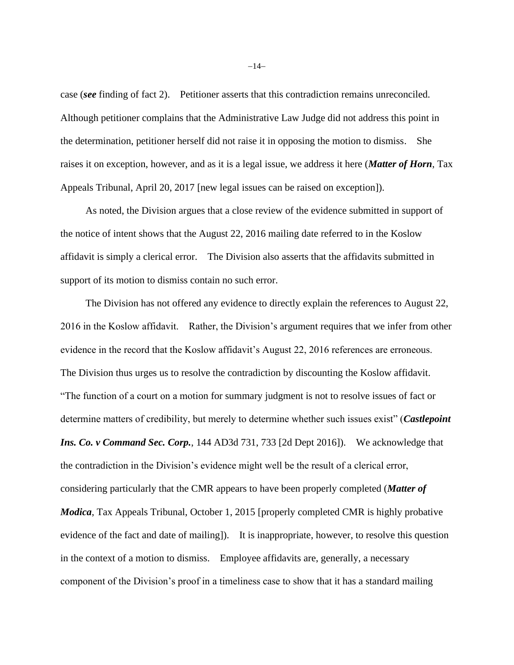case (*see* finding of fact 2). Petitioner asserts that this contradiction remains unreconciled. Although petitioner complains that the Administrative Law Judge did not address this point in the determination, petitioner herself did not raise it in opposing the motion to dismiss. She raises it on exception, however, and as it is a legal issue, we address it here (*Matter of Horn*, Tax Appeals Tribunal, April 20, 2017 [new legal issues can be raised on exception]).

As noted, the Division argues that a close review of the evidence submitted in support of the notice of intent shows that the August 22, 2016 mailing date referred to in the Koslow affidavit is simply a clerical error. The Division also asserts that the affidavits submitted in support of its motion to dismiss contain no such error.

The Division has not offered any evidence to directly explain the references to August 22, 2016 in the Koslow affidavit. Rather, the Division's argument requires that we infer from other evidence in the record that the Koslow affidavit's August 22, 2016 references are erroneous. The Division thus urges us to resolve the contradiction by discounting the Koslow affidavit. "The function of a court on a motion for summary judgment is not to resolve issues of fact or determine matters of credibility, but merely to determine whether such issues exist" (*Castlepoint Ins. Co. v Command Sec. Corp.*, 144 AD3d 731, 733 [2d Dept 2016]). We acknowledge that the contradiction in the Division's evidence might well be the result of a clerical error, considering particularly that the CMR appears to have been properly completed (*Matter of Modica*, Tax Appeals Tribunal, October 1, 2015 [properly completed CMR is highly probative evidence of the fact and date of mailing]). It is inappropriate, however, to resolve this question in the context of a motion to dismiss. Employee affidavits are, generally, a necessary component of the Division's proof in a timeliness case to show that it has a standard mailing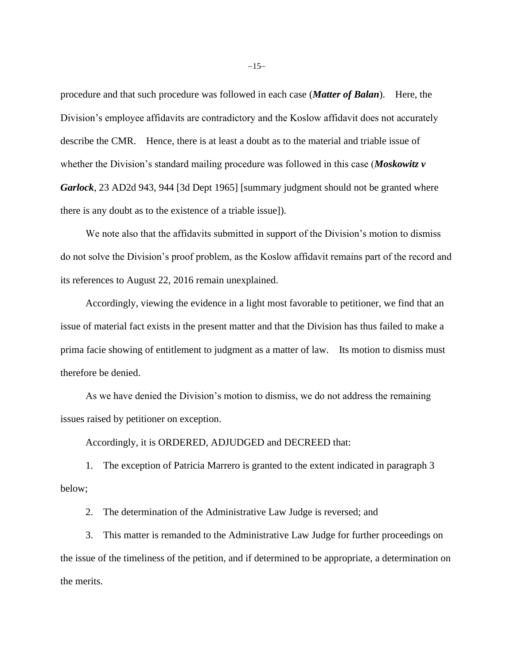procedure and that such procedure was followed in each case (*Matter of Balan*). Here, the Division's employee affidavits are contradictory and the Koslow affidavit does not accurately describe the CMR. Hence, there is at least a doubt as to the material and triable issue of whether the Division's standard mailing procedure was followed in this case (*Moskowitz v Garlock*, 23 AD2d 943, 944 [3d Dept 1965] [summary judgment should not be granted where there is any doubt as to the existence of a triable issue]).

We note also that the affidavits submitted in support of the Division's motion to dismiss do not solve the Division's proof problem, as the Koslow affidavit remains part of the record and its references to August 22, 2016 remain unexplained.

Accordingly, viewing the evidence in a light most favorable to petitioner, we find that an issue of material fact exists in the present matter and that the Division has thus failed to make a prima facie showing of entitlement to judgment as a matter of law. Its motion to dismiss must therefore be denied.

As we have denied the Division's motion to dismiss, we do not address the remaining issues raised by petitioner on exception.

Accordingly, it is ORDERED, ADJUDGED and DECREED that:

1. The exception of Patricia Marrero is granted to the extent indicated in paragraph 3 below;

2. The determination of the Administrative Law Judge is reversed; and

3. This matter is remanded to the Administrative Law Judge for further proceedings on the issue of the timeliness of the petition, and if determined to be appropriate, a determination on the merits.